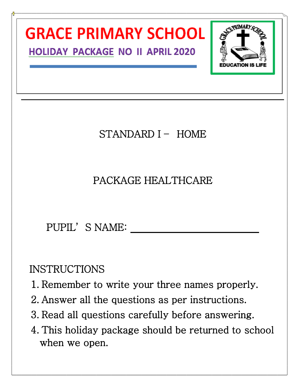

when we open.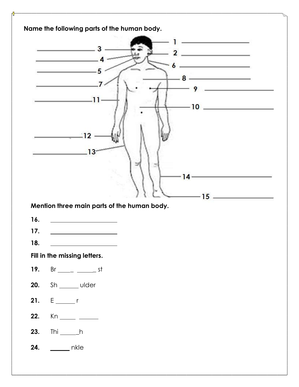|            |              | 3                                                                                                                     |  |   |                       |                                                                                                                       |  |
|------------|--------------|-----------------------------------------------------------------------------------------------------------------------|--|---|-----------------------|-----------------------------------------------------------------------------------------------------------------------|--|
|            |              |                                                                                                                       |  |   |                       | the contract of the contract of the                                                                                   |  |
|            |              |                                                                                                                       |  |   |                       |                                                                                                                       |  |
|            |              |                                                                                                                       |  | 8 |                       | ______<br>the control of the control of the control of                                                                |  |
|            |              | 11                                                                                                                    |  |   | 9                     |                                                                                                                       |  |
|            |              |                                                                                                                       |  |   | $-10$ $\qquad \qquad$ |                                                                                                                       |  |
|            |              |                                                                                                                       |  |   |                       |                                                                                                                       |  |
|            |              | 12                                                                                                                    |  |   |                       |                                                                                                                       |  |
|            |              |                                                                                                                       |  |   |                       |                                                                                                                       |  |
|            |              |                                                                                                                       |  |   |                       |                                                                                                                       |  |
|            |              |                                                                                                                       |  |   |                       |                                                                                                                       |  |
|            |              |                                                                                                                       |  |   | 4                     |                                                                                                                       |  |
|            |              |                                                                                                                       |  |   |                       |                                                                                                                       |  |
|            |              |                                                                                                                       |  |   |                       |                                                                                                                       |  |
|            |              |                                                                                                                       |  |   | $-15$ .               | <u> La Carlo de la Carlo de la Carlo de la Carlo de la Carlo de la Carlo de la Carlo de la Carlo de la Carlo de l</u> |  |
|            |              | Mention three main parts of the human body.                                                                           |  |   |                       |                                                                                                                       |  |
| 16.        |              | <u> 1989 - Jan Stein Harry Stein Harry Stein Harry Stein Harry Stein Harry Stein Harry Stein Harry Stein Harry St</u> |  |   |                       |                                                                                                                       |  |
| 17.        |              |                                                                                                                       |  |   |                       |                                                                                                                       |  |
| 18.        |              | <u> 1989 - Johann Barbara, martxa alemaniar a</u>                                                                     |  |   |                       |                                                                                                                       |  |
|            |              | Fill in the missing letters.                                                                                          |  |   |                       |                                                                                                                       |  |
| 19.        |              | $Br$ <sub>_____</sub> ______________ st                                                                               |  |   |                       |                                                                                                                       |  |
| 20.        |              | Sh ______ ulder                                                                                                       |  |   |                       |                                                                                                                       |  |
|            | $E \sim r$   |                                                                                                                       |  |   |                       |                                                                                                                       |  |
| 21.        |              |                                                                                                                       |  |   |                       |                                                                                                                       |  |
| 22.<br>23. | Thi _______h |                                                                                                                       |  |   |                       |                                                                                                                       |  |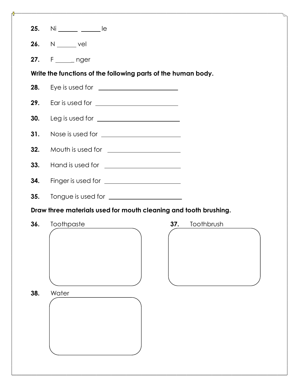| 25. | $Ni$ ________ ______ le                                          |
|-----|------------------------------------------------------------------|
| 26. | $N \underline{\hspace{2cm}}$ vel                                 |
| 27. | F _____ nger                                                     |
|     | Write the functions of the following parts of the human body.    |
| 28. | Eye is used for $\sqrt{2\pi}$                                    |
| 29. |                                                                  |
| 30. |                                                                  |
| 31. |                                                                  |
| 32. | Mouth is used for <u>____________________</u>                    |
| 33. |                                                                  |
| 34. |                                                                  |
| 35. | Tongue is used for <u>____________________</u>                   |
|     | Draw three materials used for mouth cleaning and tooth brushing. |
| 36. | Toothbrush<br>Toothpaste<br>37.                                  |
| 38. | Water                                                            |
|     |                                                                  |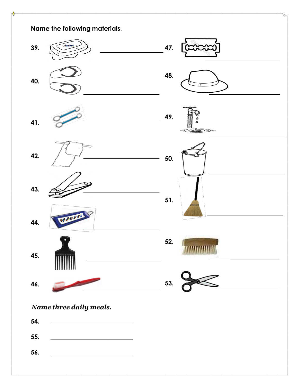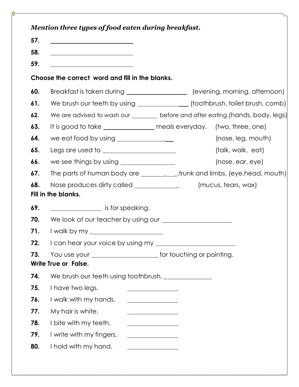| 57.                                    | <u> 1989 - Johann Barn, mars and de Branch Barn, mars and de Branch Barn, mars and de Branch Barn, mars and de Br</u>                                                                                                                                |                                                                                 |
|----------------------------------------|------------------------------------------------------------------------------------------------------------------------------------------------------------------------------------------------------------------------------------------------------|---------------------------------------------------------------------------------|
| 58.                                    | <u> 1989 - Johann John Stone, mars eta bainar eta politikaria (h. 1908).</u>                                                                                                                                                                         |                                                                                 |
| 59.                                    | <u> 1989 - Johann Barbara, martxa amerikan personal (</u>                                                                                                                                                                                            |                                                                                 |
|                                        | Choose the correct word and fill in the blanks.                                                                                                                                                                                                      |                                                                                 |
| 60.                                    |                                                                                                                                                                                                                                                      | Breakfast is taken during ______________________ (evening, morning, afternoon)  |
| 61.                                    |                                                                                                                                                                                                                                                      | We brush our teeth by using _________________ (toothbrush, toilet brush, comb)  |
| 62.                                    |                                                                                                                                                                                                                                                      | We are advised to wash our ________ before and after eating.(hands, body, legs) |
| 63.                                    |                                                                                                                                                                                                                                                      | It is good to take _______________ meals everyday. (two, three, one)            |
| 64.                                    | we eat food by using $\frac{1}{1}$ metallies and the same set of $\frac{1}{1}$ metallies are not set of $\frac{1}{1}$ metallies and the set of $\frac{1}{1}$ metallies are not set of $\frac{1}{1}$ metallies are not set of $\frac{1}{1}$ metallies | (nose, leg, mouth)                                                              |
| 65.                                    |                                                                                                                                                                                                                                                      | (talk, walk, eat)                                                               |
| 66.                                    | we see things by using $\frac{1}{1}$ metallical matrix $\frac{1}{1}$ metallical metallic metallic metallic metallic metallic metallic metallic metallic metallic metallic metallic metallic metallic metallic metallic metallic metal                | (nose, ear, eye)                                                                |
| 67.                                    | The parts of human body are _______________trunk and limbs. (eye, head, mouth)                                                                                                                                                                       |                                                                                 |
|                                        |                                                                                                                                                                                                                                                      |                                                                                 |
|                                        | Nose produces dirty called ______________                                                                                                                                                                                                            | (mucus, tears, wax)                                                             |
|                                        | Fill in the blanks.                                                                                                                                                                                                                                  |                                                                                 |
|                                        | <u>________________</u> is for speaking.                                                                                                                                                                                                             |                                                                                 |
|                                        |                                                                                                                                                                                                                                                      |                                                                                 |
|                                        |                                                                                                                                                                                                                                                      |                                                                                 |
|                                        |                                                                                                                                                                                                                                                      | I can hear your voice by using my _________________________                     |
| 68.<br>69.<br>70.<br>71.<br>72.<br>73. |                                                                                                                                                                                                                                                      |                                                                                 |
|                                        | Write True or False.                                                                                                                                                                                                                                 |                                                                                 |
|                                        | We brush our teeth using toothbrush.                                                                                                                                                                                                                 |                                                                                 |
|                                        | I have two legs.                                                                                                                                                                                                                                     |                                                                                 |
|                                        | I walk with my hands.                                                                                                                                                                                                                                |                                                                                 |
|                                        | My hair is white.                                                                                                                                                                                                                                    | <u> 1989 - Johann Barn, mars ann an t-Amhair an t-A</u>                         |
| 74.<br>75.<br>76.<br>77.<br>78.        | I bite with my teeth.                                                                                                                                                                                                                                |                                                                                 |